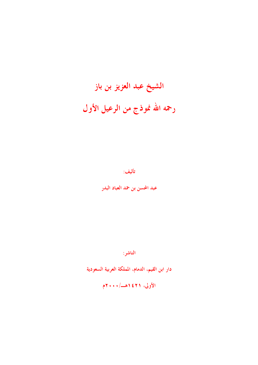# الشيخ عبد العزيز بن باز رحمه الله نموذج من الرعيل الأول

تأليف:

عبد المحسن بن حمد العباد البدر

الناشر :

دار ابن القيم، الدمام، المملكة العربية السعودية

الأولى، ١٤٢١هـ/١٠٠٠م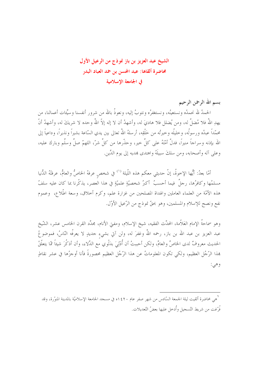# الشيخ عبد العزيز بن باز نموذج من الرعيل الأول محاضرة ألقاها: عبد المحسن بن حمد العباد البدر في الجامعة الاسلامية

الحمدُ لله نحمدُه ونستعينُه، ونستغفرُه ونتوبُ إليه، ونعوذُ بالله من شرور أنفسنا وسيِّئات أعمالنا، من يهدِ اللهُ فلا مُضلَّ له، ومن يُضلل فلا هاديَ له، وأشهدُ أن لا إله إلاَّ اللهُ وحده لا شريكَ له، وأشهدُ أنّ محمّداً عبدُه ورسولُه، وحليلُه وحيرتُه من خَلْقِه، أرسلهُ اللهُ تعالى بين يدي السّاعة بشيراً ونذيراً، وداعياً إلى الله بإذنه وسراجاً منيراً، فدلَّ أمَّتَهُ على كلِّ خير، وحذَّرها من كلِّ شرّ، اللهمّ صلِّ وسلَّم وبارك عليه، وعلى آله وأصحابه، ومن سلكَ سبيلَهُ واهتدى بمديه إلى يوم الدِّين.

بسم الله الرحمن الرحيم

أمّا بعدُ: أيُّها الإخوةُ، إنّ حديثي معكم هذه اللّيلة <sup>(١)</sup> في شخص عرفهُ الخاصُّ والعامُّ، عرفتْهُ الدُّنيا مسلمُها وكافرُها، , جلَّ فيما أحسبُ ۖ أكبرُ شخصيَّةٍ علميَّةٍ في هذا العصرِ ، يذكَّرنا بما كان عليه سلفُ هذه الأمَّة من العلماء العاملين والهداة المصلحين من غزارة علم، وكرم أخلاق، وسعة اطَّلاع، وعموم نفع ونصح للإسلام والمسلمين، وهو بحقٌّ نموذج من الرَّعيل الأوّل.

وهو سماحةُ الإمام العَلاَّمة، المحدِّث الفقيه، شيخ الإسلام، ومفتى الأنام، مجلَّد القرن الخامس عشر، الشّيخ عبد العزيز بن عبد الله بن باز، رحمه اللهُ وغفرَ له، ولن آتي بشيء حديدٍ لا يعرفُه النّاسُ، فموضوعُ الحديث معروفٌ لدى الخاصِّ والعامِّ، ولكن أحببتُ أن أُدْلِيَ بدَلْوي مع الدِّلاء، وأن أذكُرَ شيئاً ممّا يتعلَّقُ هِذا الرَّجُلِ العظيم، ولكي تكون المعلوماتُ عن هذا الرَّجُلِ العظيم محصورةً فأنا أوجزُها في عشر نقاطِ وهي:

`<br>`هي محاضرة ألقيت ليلة الجمعة السّادس من شهر صفر عام ٤٢٠ ٥١ في مسجد الجامعة الإسلاميّة بالمدينة المنوّرة، وقد فُرِّغت من شريط التّسجيل وأُدخل عليها بعضُ التّعديلات.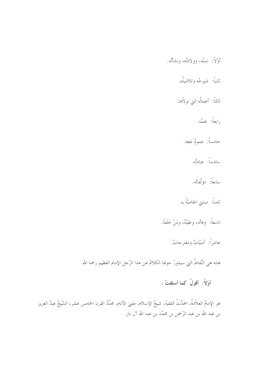أَوّلاً: نسبُه، وولادتُه، ونشأتُه. ثانياً: شيوځه و تلاميذُه. ثالثاً: أعمالُه التي تولاّها. رابعاً: علمُه. خامساً: عمومُ نفعِه. سادساً: عبادتُه. سابعاً: مؤلَّفاتُه. .<br>ثامناً: صلتي الخاصّةُ به. تاسعاً: وفاتُه، وعَقِبُهُ، ومَنْ خَلَفَهُ. عاشراً: أمنيّاتٌ ومقترحاتٌ. هذه هي النِّقاطُ التي سيدورُ حولها الكلامُ عن هذا الرَّحل الإمام العظيم رحمه الله. أَوَّلاً: أَقْوِلُ كما أسلفتُ :

هو الإمامُ العلاّمةُ، المحدِّثُ الفقيهُ، شيخُ الإسلام، مفتي الأنام، مجدِّدُ القرن الخامس عشر، الشّيخُ عبدُ العزيز بن عبد الله بن عبد الرَّحمن بن محمّد بن عبد الله آل باز.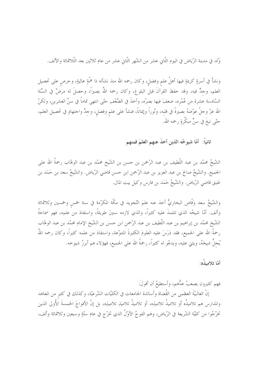وُلد في مدينة الرِّياض في اليوم الثَّاني عشر من الشَّهر الثَّاني عشر من عام ثلاثين بعد الثَّلاثمائة والألف.

ونشأ في أسرةٍ كريمةٍ فيها أهلُ علمٍ وفضلٍ، وكان رحمه الله منذ نشأته ذا همَّةٍ عاليةٍ، وحرصٍ على تحصيل العلم، وحدٍّ فيه، وقد حفظ القرآنَ قبل البلوغ، وكان رحمه اللهُ بصيراً، وحصلَ له مرضٌ في السَّنَة السَّادسة عشرة من عُمُره، ضعفَ فيها بصرُه، وأخذَ في الضَّعْفِ حتَّى انتهى تماماً في سنِّ العشرين، ولكنّ الله عزّ وحلّ عوّضهُ بصيرةً في قلبه، ونُوراً وإيماناً، فنشأ على علم وفضل، وحدٍّ واحتهادٍ في تحصيل العلم، حتّى نبغَ في سنٍّ مبكِّرةٍ رحمه الله.

ثانياً: أمَّا شيوخُه الذين أخذَ عنهم العلمَ فمنهم

الشَّيخُ محمّد بن عبد اللَّطيف بن عبد الرَّحمن بن حسن بن الشَّيخ محمّد بن عبد الوهّاب رحمةُ الله على الجميع. والشَّيخُ صالح بن عبد العزيز بن عبد الرَّحمن ابن حسن قاضي الرِّياض. والشَّيخُ سعد بن حَمَد بن عَتيق قاضي الرِّياض. والشَّيخُ حَمَد بن فارس وكيل بيت المال.

والشَّيخُ سعد وَقَّاص البخاريُّ أخذ عنه علمَ التَّجويد في مكَّة المكرَّمة في سنة خمس وخمسين وثلاثمائة وألف. أمّا شيخُه الذي تتلمذَ عليه كثيراً، والذي لازمه سنينَ طويلةً، واستفادَ من علمِه، فهو سماحةُ الشَّيخ محمَّد بن إبراهيم بن عبد اللَّطيف بن عبد الرَّحمن ابن حسن بن الشَّيخ الإمام محمَّد بن عبد الوهَّاب رحمةُ الله على الجميع، فقد دَرَسَ عليه العلومَ الكثيرةَ المتنوَّعة، واستفادَ من علمه كثيراً، وكان رحمه اللهُ يُجلُّ شيخَهُ، ويثني عليه، ويدعُو له كثيراً، رحمةُ الله على الجميع، فهؤلاء هم أبرزُ شيوخه.

أمّا تلامىذُه:

فهم كثيرون يصعبُ عدُّهم، وأستطيعُ أن أقولَ:

إنَّ الغالبيَّةَ العظمي من القُضاة وأساتذة الجامعات في الكليَّات الشَّرعيَّة، وكذلك في كثير من المعاهد والمدارس هم تلاميذُه أو تلاميذُ تلامينِه، أو تلاميذُ تلامينِ تلامينِه، بل إنَّ الأفواجَ الخمسةَ الأُولى الذين تخرَّجُوا من كليّة الشّريعة في الرّياض، وهم الفوجُ الأوّلُ الذي تخرّج في عام ستّةٍ وسبعين وثلاثمائة وألف،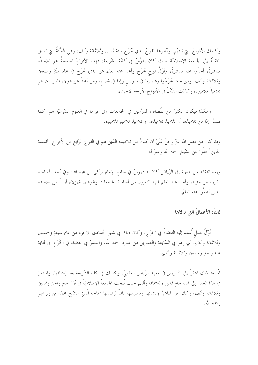وكذلك الأفواجُ التي تلتهُم، وآخرُها الفوجُ الذي تخرُّج سنة ثمانين وثلاثمائة وألف، وهي السَّنَةُ التي تسبقُ انتقالَهُ إلى الجامعة الإسلاميّة حيث كان يدرِّسُ في كليّة الشّريعة، فهذه الأفواجُ الخمسةُ هم تلاميذُه مباشرةً، أخذُوا عنه مباشرةً، وأوّلُ فوج تخرّجَ وأخذَ عنه العلمَ هو الذي تخرّج في عام ستّةٍ وسبعين وثلاثمائة وألف، ومن حين تخرَّجُوا وهم إمَّا في تدريسٍ وإمَّا في قضاءِ، ومن أخذَ عن هؤلاء المدرَّسين هم تلاميذُ تلامينِه، وكذلك الشَّأنُ في الأفواج الأربعة الأخرى.

وهكذا فيكون الكثيرُ من القُضاة والمدرِّسين في الجامعات وفي غيرها في العلوم الشَّرعيَّة هم كما قلتُ ۖ إمَّا من تلاميذِه، أو تلاميذِ تلاميذِه، أو تلاميذِ تلاميذِ تلاميذِه.

وقد كان من فضل الله عزّ وحلّ عَلَيَّ أن كنتُ من تلاميذه الذين هم في الفوج الرّابع من الأفواج الخمسة الذين أخذُوا عن الشّيخ رحمه الله وغفرَ له.

وبعد انتقاله من المدينة إلى الرّياض كان له دروسٌ في جامع الإمام تركي بن عبد الله، وفي أحد المساجد القريبة من مترله، وأحذ عنه العلم فيها كثيرون من أساتذة الجامعات وغيرهم، فهؤلاء أيضاً من تلاميذه الذين أخذُوا عنه العليَم.

#### ثالثاً: الأعمالُ التي تولاًها

أوّلُ عمل أُسند إليه القضاءُ في الخَرْج، وكان ذلك في شهر جُمادى الآخرة من عام سبعةٍ وخمسين وثلاثمائة وألفٍ، أي وهو في السَّابعة والعشرين من عمره رحمه الله، واستمرَّ في القضاء في الخَرْج إلى نماية عام واحدٍ وسبعين وثلاثمائة وألفٍ.

ثمَّ بعد ذلك انتقلَ إلى التِّدريس في معهد الرِّياض العلميِّ، وكذلك في كليَّة الشَّريعة بعد إنشائها، واستمرَّ في هذا العمل إلى لهاية عام ثمانين وثلاثمائة وألفٍ حيث فُتحت الجامعةُ الإسلاميّةُ في أوّل عام واحدٍ وثمانين وثلاثمائة وألف، وكان هو المباشرُ لإنشائها وتأسيسها نائباً لرئيسها سماحة المُفتى الشّيخ محمّد بن إبراهيم , حمه الله.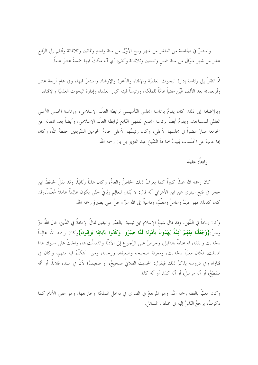واستمرَّ في الجامعة من العاشر من شهر ربيع الأوَّل من سنة واحدٍ وثمانين وثلاثمائة وألفٍ إلى الرَّابع عشر من شهر شوَّال من سنة خمس وتسعين وثلاثمائة وألفٍ، أي أنَّه مكتَ فيها خمسةَ عشرَ عاماً.

ثمَّ انتقلَ إلى رئاسة إدارة البحوث العلميَّة والإفتاء والدَّعوة والإرشاد واستمرَّ فيها، وفي عام أربعة عشر وأربعمائة بعد الألف عُيِّن مفتياً عامّاً للملكة، ورئيساً لهيئة كبار العلماء وإدارة البحوث العلميّة والإفتاء.

وبالإضافة إلى ذلك كان يقومُ برئاسة المجلس التَّأسيسي لرابطة العالَم الإسلامي، ورئاسة المجلس الأعلى العالمي للمساجد، ويقومُ أيضاً برئاسة الجمع الفقهي التّابع لرابطة العالَم الإسلامي، وأيضاً بعد انتقاله عن الجامعة صارَ عضواً في مجلسها الأعلى، وكان رئيسُها الأعلى حادمُ الحرمين الشَّريفين حفظهُ اللهُ، وكان إذا غابَ عن الجَلَسات يُنيبُ سماحةَ الشّيخ عبد العزيز بن باز رحمه الله.

#### رابعاً: علمُه

كان رحمه الله عالماً كبيراً كما يعرفُ ذلك الخاصُّ والعامُّ، وكان عالماً ربّانيّاً، وقد نقلَ الحافظُ ابن حجر في فتح الباري عن ابن الأعرابي أنّه قال: لا يُقال للعالِم ربّانيّ حتّى يكون عالِماً عاملاً مُعلِّماً.وقد كان كذلك فهو عالِمٌ وعاملٌ ومعلَّمٌ، وداعيةٌ إلى الله عزّ وحلَّ على بصيرةٍ رحمه الله.

وكان إماماً في الدِّين، وقد قال شيخُ الإسلام ابن تيمية: بالصّبر واليقين تُنالُ الإمامةُ في الدِّين، قال اللهُ عزّ وجلّ:{وَجَعَلْنَا مِنْهُمْ أَئِمَّةً يَهْدُونَ بأَمْرِنَا لَمَّا صَبَرُوا وَكَانُوا بآياتِنَا يُوقِنُونَ}وكان رحمه الله عالِماً بالحديث والفقه، له عنايةٌ بالدّليل، وحرصٌ على الرُّحوع إلى الأدلّة والتّمسُّك ها، والحتِّ على سلوك هذا المسلك، فكان معنيًّا بالحديث، ومعرفة صحيحه وضعيفه، ورحاله، ومن ۗ يُتكلَّمُ فيه منهم، وكان في فتاواه وفي دروسه يذكرُ ذلك فيقول: الحديثُ الفلانيُّ صحيحٌ، أو ضعيفٌ؛ لأنَّ في سنده فلاناً، أو أنّه منقطعٌ، أو أنَّه مرسلٌ، أو أنَّه كذا، أو أنَّه كذا.

وكان معنيّاً بالفقه رحمه الله، وهو المرحعُ في الفتوى في داخل المملكة وخارجها، وهو مفتى الأنام كما ذكرتُ، يرجعُ النّاسُ إليه في مختلف المسائل.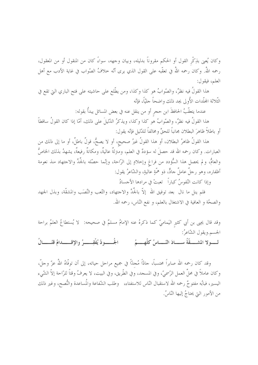وكان يُعني بذِكْر القول أو الحكم مقروناً بدليله، وبيان وجهه، سواءً كان من المنقول أو من المعقول، رحمه اللهُ. وكان رحمه اللهُ في تعقَّبه على القول الذي يرى أنَّه حلافُ الصَّواب في غاية الأدب مع أهل العلم، فيقول:

هذا القولُ فيه نظرٌ، والصّوابُ هو كذا وكذا، ومن يطّلع على حاشيته على فتح الباري التي تقع في الثَّلاثة المحلَّدات الأُولى يجد ذلك واضحاً جليّاً، فإنّه

عندما يتعقَّبُ الحافظَ ابن حجرٍ أو من ينقل عنه في بعض المسائل يبدأُ بقوله:

هذا القولُ فيه نظرٌ، والصّوابُ هو كذا وكذا، ويذكرُ الدّليلَ على ذلك، أمّا إذا كان القولُ ساقطاً أو باطلاً ظاهرَ البطلان مجانباً للحقِّ ومخالفاً للدّليل فإنّه يقول:

هذا القولُ ظاهرُ البطلان، أو هذا القولُ غيرُ صحيح، أو لا يصحُّ، قولٌ باطلٌ، أو ما إلى ذلك من العبارات. وكان رحمه الله قد حصلَ له سؤددٌ في العلم، ومترلةٌ عاليةٌ، ومكانةٌ رفيعةٌ، يشهدُ بذلك الخاصُّ والعامُّ، ولم يحصل هذا السُّؤدد من فراغ وإخلادٍ إلى الرّاحة، وإنّما حصّله بالجُلِّ والاجتهاد منذ نعومة أظفاره، وهو رحلٌ عاملٌ حادٌ، ذو همَّةٍ عاليةٍ، والشَّاعرُ يقول:

وإذا كانت النّفوسُ كباراً تعبتْ في مرادها الأحسادُ

فلم ينل ما نال بعد توفيق الله إلاّ بالجِّدِّ والاحتهاد، والتَّعب والنَّصَب والمشقَّة، وبذل الجهد والصحَّة و العافية في الاشتغال بالعلم، و نفع النَّاس، رحمه الله.

وقد قال يجيى بن أبي كثير اليَماميّ كما ذكرهُ عنه الإمامُ مسلمٌ في صحيحه: لا يُستطاعُ العلمُ براحة الجسم.ويقول الشّاعرُ: لـــولا المشـــقّةُ ســـادَ النّـــاسُ كلّهــــمُ الجُــــــودُ يُفْقِــــــرُ واﻹقـــــــدامُ قتّــــــالُ

وقد كان رحمه الله صابراً محتسباً، حادّاً مُجدّاً في جميع مراحل حياته، إلى أن توفّاهُ اللهُ عزّ وحلَّ، وكان عاملاً في محلِّ العمل الرَّسميِّ، وفي المسجد، وفي الطَّريق، وفي البيت، لا يعرفُ وقتاً للرّاحة إلاّ الشّيء اليسير، فبابُه مفتوحٌ رحمه الله لاستقبال النّاس للاستفتاء، وطلب الشّفاعة والمُساعدة والنُّصح، وغير ذلك من الأمور التي يحتاجُ إليها النّاسُ.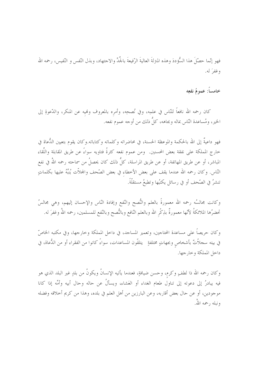فهو إنّما حصّلَ هذا السُّؤددَ وهذه المترلةَ العاليةَ الرّفيعةَ بالجِّدِّ والاجتهاد، وبذل النّفس و النّفيس، رحمه الله وغفرَ له.

خامساً: عمومُ نفعِه

كان رحمه الله نافعاً للنّاس في علمِه، وفي نُصحِه، وأمره بالمعروف وفميه عن المنكر، والدّعوةِ إلى الخير ، ومُساعدة النّاس بماله وبجاهه، كلَّ ذلك من أوجه عموم نفعه.

فهو داعيةٌ إلى الله بالحكمة والموعظة الحسنة، في محاضراته وكلماته وكتاباته.وكان يقوم بتعيين الدُّعاة في خارج المملكة على نفقة بعض المحسنين. ومن عموم نفعه كثرةُ فتاويه سواءً عن طريق المقابلة واللِّقاء المباشر، أو عن طريق المهاتفة، أو عن طريق المراسلة، كلَّ ذلك كان يحصلُ من سماحته رحمه اللهُ في نفع النّاس. وكان رحمه الله عندما يقف على بعض الأخطاء في بعض الصّحف والمحلاّت يُنبِّهُ عليها بكلماتٍ تنشرُ في الصّحف أو في رسائل يكتبُها وتطبعُ مستقلَّةً.

وكانت مجالسُه رحمه الله معمورةً بالعلم والنُّصح والنُّفع وإفادة النَّاس والإحسان إليهم، وهي مجالسُ تحضرُها الملائكةُ لأنّها معمورةٌ بذِكْر الله وبالعلم النّافع وبالنُّصح وبالنّفع للمسلمين، رحمه اللهُ وغفرَ له.

وكان حريصاً على مساعدة المحتاجين، وتعمير المساجد، في داخل المملكة وخارجها، وفي مكتبه الخاصِّ في بيته سجلاَّتٌ بأشخاص وبجهاتٍ مختلفةٍ يتلقَّون المساعدات، سواءً كانوا من الفقراء أو من الدُّعاة، في داخل المملكة وخارجها.

وكان رحمه الله ذا لطفٍ وكرم، وحسن ضيافةٍ، فعندما يأتيه الإنسانُ ويكونُ من بلدٍ غير البلد الذي هو فيه يبادرُ إلى دعوته إلى تناول طعام الغداء أو العَشاء، ويسألُ عن حاله وحال أبيه وأمِّه إذا كانا موجودين، أو عن حال بعض أقاربه، وعن البارزين من أهل العلم في بلده، وهذا من كريم أخلاقه وفضله ونبله , حمه اللهُ.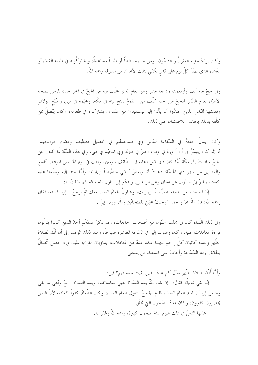وكان يرتادُ مترلَه الفقراءُ والمحتاجُون، ومن جاءَ مستفتياً أو طالباً مساعدةً، ويشاركُونه في طعام الغداء أو العَشاء الذي يهيّاً كلّ يوم على قدر يكفي لتلك الأعداد من ضيوفه رحمه اللهُ.

وفي حجِّ عام ألف وأربعمائة وتسعة عشر وهو العام الذي تخلَّف فيه عن الحجِّ في آخر حياته لمرض نصحه الأطبّاء بعدم السّفر للحجّ من أجله كلّف من يقومُ بفتح بيته في مكّة، ومخيّمه في مني، وصُنْع الولائم وتقديمها للنَّاس الذين اعتادُوا أن يأتُوا إليه ليستفيدوا من علمه، ويشاركوه في طعامه، وكان يتَّصلُ بمن كَلّْفه بذلك بالهاتف للاطمئنان على ذلك.

وكان يبذلُ حاهَهُ في الشّفاعة للنّاس وفي مساعدقم في تحصيل مطالبهم وقضاء حوائجهم. ثمّ إنّه كان يتيسّرُ لي أن أزورهُ في وقت الحجِّ في منزله وفي المخيّم في مني، وفي هذه السَّنَة لّما تخلّف عن الحجِّ سافرتُ إلى مكَّة لَمَّا كان فيها قبل ذهابه إلى الطَّائف بيومين، وذلك في يوم الخميس الموافق التّاسع والعشرين من شهر ذي الحجّة، ذهبتُ أنا وبعضُ أبنائي خصِّيصاً لزيارته، ولَمَّا جئنا إليه وسلَّمنا عليه كعادته يبادرُ إلى السُّؤال عن الحال وعن الوالدين، ويدعُو إلى تناول طعام الغداء، فقلتُ له:

إنَّا قد حتنا من المدينة خصِّيصاً لزيارتك، ونتناولُ طعامَ الغداء معك ثمَّ نرحعُ ۖ إلى المدينة، فقال رحمه الله: قال اللهُ عزّ و حلّ: "وحبتْ محبّتي للمتحابِّين والمُتزاورين فِيٌّ".

وفي ذلك اللُّقاء كان في مجلسه ستَّون من أصحاب الحاجات، وقد ذكرَ عددَهُم أحدُ الذين كانوا يتولَّون قراءةَ المعاملات عليه، وكان وصولنا إليه في السَّاعة العاشرة صباحاً، ومنذ ذلك الوقت إلى أن أذَّن لصلاة الظُّهر وعنده كاتبان كلُّ واحدٍ منهما عنده عددٌ من المعاملات، يتناوبان القراءة عليه، وإذا حصلَ اتِّصالٌ بالهاتف رفع السَّمَّاعةَ وأحابَ على استفتاء من يستفي.

ولَمَّا أُذَّن لصلاة الظَّهر سأل كم عددُ الذين بقيت معاملتهم؟ قيل:

إنّه بقى ثمانيةٌ، فقال: إن شاء اللهُ بعد الصّلاة ننهي معاملاقم، وبعد الصّلاة رحعَ وأفمى ما بقي وجلسَ إلى أن قُدّم طعامُ الغداء، فقام الجميعُ لتناول طعامَ الغداء، وكان الطّعامُ كثيراً كعادته لأنّ الذين يحضرُون كثيرون، وكان عددُ الصّحون التي تحلّق

عليها النّاسُ في ذلك اليوم ستّة صحون كبيرة، رحمه اللهُ وغفرَ له.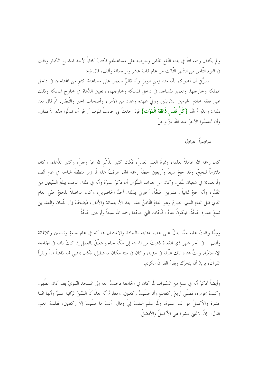و لم يكتف رحمه الله في بذله النّفعَ للنّاس وحرصه على مساعدقمم فكتبَ كتاباً لأحد المشايخ الكبار وذلك في اليوم الثَّامن من الشَّهر الثَّالث من عام ثمانية عشر وأربعمائة وألف، قال فيه:

يسرُّني أن أخبركم بأنَّه منذ زمنٍ طويلٍ وأنا قائمٌ بالعمل على مساعدة كثير من المحتاجين في داخل المملكة وخارجها، وتعمير المساحد في داخل المملكة وخارجها، وتعيين الدُّعاة في خارج المملكة وذلك على نفقه حادم الحرمين الشّريفين ووليّ عهده وعدد من الأمراء وأصحاب الخير والتُّجّار، ثمّ قال بعد ذلك: والدّوامُ لله، {كُلُّ **نَفْس ذَائِقَةُ الْمَوْتِ}** فإذا حدثَ بي حادثُ الموت أرجُو أن تتولّوا هذه الأعمالَ، وأن تحتسبُوا الأحرَ عند الله عزّ وجلّ.

#### سادساً: عبادتُه

كان رحمه الله عاملاً بعلمه، وثمرةُ العلم العملُ، فكان كثيرَ الذِّكْرِ لله عزِّ وحلَّ، وكثيرَ الدُّعاء، وكان ملازماً للحجِّ، وقد حجّ سبعاً وأربعين حجَّةً رحمه الله، عرفتُ هذا لّما زارَ منطقةَ الباحة في عام ألف وأربعمائة في شعبان سُئل، وكان من حواب السُّؤال أن ذكرَ عمرَهُ وأنّه في ذلك الوقت يبلغُ السّبعين من العُمُر، وأنَّه حجَّ ثمانياً وعشرين حَجَّةً، أحبرني بذلك أحدُ الحاضرين، وكان مواصلاً للحجِّ حتَّى العام الذي قبل العام الذي انصرمَ وهو العامُ التَّامنُ عشر بعد الأربعمائة والألف، فيُضافُ إلى الثَّمان والعشرين تسعَ عشرة حَجَّةً، فيكونُ عددُ الحَجّات التي حجّها رحمه الله سبعاً وأربعين حَجَّةً.

ومِمَّا وقفتُ عليه مِمَّا يدلُّ على عظم عنايته بالعبادة والاشتغال هِا أنَّه في عام سبعةٍ وتسعينٍ وثلاثمائة وألفٍ ۚ في آخر شهر ذي القعدة ذهبتُ من المدينة إلى مكَّة لحاجةٍ تتعلَّقُ بالعمل إذ كنتُ نائبَه في الجامعة الإسلاميّة، وبتُّ عنده تلك اللّيلة في مـترله، وكـان في بيته مكـان مستطيل، فكـان يمشى فيه ذاهباً آيباً ويقرأُ القرآنَ، يريدُ أن يتحرَّك ويقرأ القرآنَ الكريم.

وأيضاً أذكرُ أنّه في سنةٍ من السّنوات لّما كان في الجامعة دخلتُ معه إلى المسحد النّبويّ بعد أذان الظُّهر، وكنتُ بجواره، فصلَّى أربعَ ركعاتٍ وأنا صلَّيتُ ركعتين، ومعلومٌ أنَّه حاءَ أنَّ السَّننَ الرَّاتبةَ عشرٌ وأنّها اثنتا عشرة والأكملُ هو اثنتا عشرة، ولَّما سلَّم التفتَ إليَّ وقال: أنتَ ما صلَّيتَ إلاَّ ركعتين، فقلتُ: نعم، فقال: ۚ إنَّ الاثنتي عشرة هي الأكملُ والأفضلُ.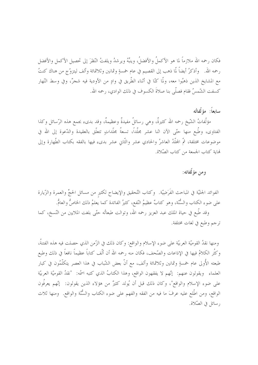فكان رحمه الله ملازماً لما هو الأكملُ والأفضلُ، وينبِّهُ ويرشدُ ويلفتُ النّظرَ إلى تحصيل الأكمل والأفضل رحمه الله. وأذكرُ أيضاً لّما ذهب إلى القصيم في عام خمسةٍ وثمانين وثلاثمائة وألف ليتزوّج من هناك كنتُ مع المشايخ الذين ذهبُوا معه، ولَّما كنَّا في أثناء الطَّريق في وادٍ من الأودية فيه شجرٌ، وفي وسط النّهار كسفت الشّمسُ فقام فصلَّى بنا صلاةَ الكسوف في ذلك الوادي، رحمه الله.

### سابعاً: مؤلَّفاتُه

مؤلَّفاتُ الشَّيخ رحمه الله كثيرةٌ، وهي رسائلُ مفيدةٌ وعظيمةٌ، وقد بدىء بجمع هذه الرَّسائل وكذا الفتاوى، وطُبع منها حتّى الآن اثنا عشر مجلَّداً، تسعةُ مجلَّداتٍ تتعلَّق بالعقيدة والدَّعوة إلى الله في موضوعات مختلفة، ثمّ المحلَّدُ العاشرُ والحادي عشر والثَّابي عشر بدىء فيها بالفقه بكتاب الطَّهارة وإلى لهاية كتاب الجمعة من كتاب الصّلاة.

## ومن مؤلَّفاته:

الفوائد الجليّة في المباحث الفَرَضِيّة. ۖ وكتاب التّحقيق واﻹيضاح لكثيرٍ من مسائل الحجِّ والعمرة والزّيارة على ضوء الكتاب والسُّنَّة، وهو كتابٌ عظيمُ النَّفع، كثيرُ الفائدة كما يعلمُ ذلك الخاصُّ والعامُّ. وقد طُبع في حياة الملك عبد العزيز رحمه الله، وتوالت طبعاتُه حتَّى بلغت الملايين من النَّسخ، كما

ترجم وطبع في لغات مختلفة.

ومنها نقدُ القوميَّة العربيَّة على ضوء الإسلام والواقع: وكان ذلك في الزَّمن الذي حصلت فيه هذه الفتنةُ، وكثُر الكلامُ فيها في الإذاعات والصَّحف، فكان منه رحمه الله أن ألَّف كتاباً عظيماً نافعاً في ذلك وطبع طبعته الأُولى عام خمسةٍ وثمانين وثلاثمائة وألف، مع أنَّ بعض الشَّباب في هذا العصر يتكلَّمُون في كبار العلماء ويقولون عنهم: إنّهم لا يفقهون الواقع، وهذا الكتابُ الذي كتبه اسمُه: "نقدُ القوميّة العربيّة على ضوء الإسلام والواقع"، وكان ذلك قبل أن يُولد كثيرٌ من هؤلاء الذين يقولون: ۗ إنَّهم يعرفُون الواقع، ومن اطَّلع عليه عرفَ ما فيه من الفقه والفهم على ضوء الكتاب والسُّنَّة والواقع. ومنها ثلاث , سائل في الصّلاة.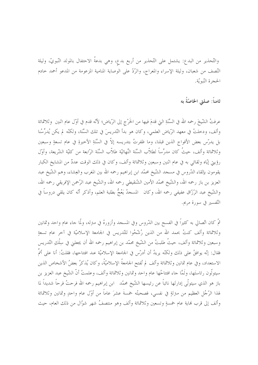والتّحذير من البدع: يشتمل على التّحذير من أربع بدع، وهي بدعةُ الاحتفال بالمولد النّبويّ، وليلة النّصف من شعبان، وليلة الإسراء والمعراج، والرّدّ على الوصاية المنامية المزعومة من المدعو أحمد حادم الحجرة النّبويّة.

ثامناً: صلتى الخاصّةُ به

عرفتُ الشَّيخَ رحمه الله في السَّنَةِ التي قدمَ فيها من الخَرْج إلى الرِّياض؛ لأنَّه قدم في أوّل عام اثنين ۖ وثلاثمائة وألف، ودخلتُ في معهد الرِّياض العلمي، وكان هو بدأ التَّدريسَ في تلك السَّنَة، ولكنَّه لم يكن يُدرِّسُنا بل يدرّس بعض الأفواج الذين قبلنا، وما ظفرتُ بتدريسه إلاّ في السَّنَةِ الأخيرةِ في عام تسعةٍ وسبعين وثلاثمائة وألف، حيثُ كان مدرِّساً لطلاَّب السَّنَة النِّهائيّة طلاَّب السَّنَة الرّابعة من كليّة الشّريعة، وأوّل رؤيتي إيّاه ولقائي به في عام اثنين وسبعين وثلاثمائة وألف، وكان في ذلك الوقت عددٌ من المشايخ الكبار يقومون بإلقاء الدّروس في مسجد الشّيخ محمّد ابن إبراهيم رحمه الله بين المغرب والعِشاء، وهم الشّيخ عبد العزيز بن باز رحمه الله، والشَّيخ محمَّد الأمين الشَّنقيطي رحمه الله، والشَّيخ عبد الرَّحمن الإفريقي رحمه الله، والشَّيخ عبد الرَّزَّاق عفيفي رحمه الله، وكان المسحدُ يَعُجُّ بطلبة العلم، وأذكر أنَّه كان يلقى دروساً في التّفسير في سورة مريم.

ثمَّ كان اتِّصالي به كثيراً في الفسح بين الدّروس وفي المسجد وأزورهُ في مترله، ولَّما جاء عام واحد وثمانين وثلاثمائة وألف كنتُ بحمد الله من الذين رُشَّحُوا للتَّدريس في الجامعة الإسلاميَّة في آخر عام تسعةٍ وسبعين وثلاثمائة وألف، حيثُ طلبتُ من الشَّيخ محمَّد بن إبراهيم رحمه الله أن يجعلني في سِلْكِ التَّدريس فقال: إنَّه يوافقُ على ذلك ولكنَّه يريدُ أن أدرَّس في الجامعة الإسلاميَّة عند افتتاحها، فقلتُ: أنا على أتمَّ الاستعداد، وفي عام ثمانين وثلاثمائة وألف لم تُفتح الجامعةُ الإسلاميّةُ، وكان يُذكرُ بعضُ الأشخاص الذين سيتولُّون رئاستَها، ولَمَّا جاء افتتاحُها عام واحد وثمانين وثلاثمائة وألف، وعلمتُ أنَّ الشَّيخ عبد العزيز بن باز هو الذي سيتولَّى إدارتَها نائباً عن رئيسها الشَّيخ محمَّد ابن إبراهيم رحمه الله فرحتُ فرحاً شديداً لما لهذا الرَّجُل العظيم من مترلةٍ في نفسي، فصحبتُه خمسةَ عشرَ عاماً من أوّل عام واحدٍ وثمانين وثلاثمائة وألف إلى قرب لهاية عام خمسةٍ وتسعين وثلاثمائة وألف وهو منتصفُ شهر شوَّال من ذلك العام، حيث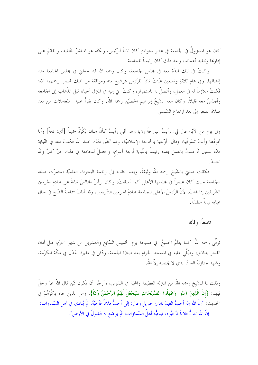كان هو المسؤولُ في الجامعة في عشر سنواتٍ كان نائباً للرِّئيس، ولكنّه هو المباشرُ للتّنفيذ، والقائمُ على إدارتها وتنفيذ أعمالها، وبعد ذلك كان رئيساً للجامعة.

وكنتُ في تلك المدّة معه في مجلس الجامعة، وكان رحمه الله قد حعلني في مجلس الجامعة منذ إنشائها، وفي عام ثلاثةٍ وتسعين عيّنتُ نائباً للرّئيس بترشيح منه وموافقة من الملك فيصل رحمهما الله؛ فكنتُ ملازماً له في العمل، وأتَّصلُ به باستمرار، وكنتُ آتي إليه في المترل أحيانا قبل الذَّهاب إلى الجامعة وأجلسُ معه قليلاً، وكان معه الشّيخُ إبراهيم الحصيّن رحمه اللهُ، وكان يقرأُ عليه المعاملات من بعد صلاة الفجر إلى بعد ارتفاع الشّمس.

وفي يوم من الأيّام قال لي: رأيتُ البارحةَ رؤيا وهو أنّني رأيتُ كأنّ هناك بَكْرَةٌ جميلةٌ [أي: ناقةٌ] وأنا أقودُها وأنتَ تسُوقُها، وقال: أوّلتُها بالجامعة الإسلاميّة، وقد تحقّق ذلك بحمد الله فكنتُ معه في النّيابة مدّة سنتين ثمّ قمتُ بالعمل بعده رئيساً بالنِّيابة أربعةَ أعوام، وحصلَ للحامعة في ذلك حيرٌ كثيرٌ ولله الجمدُّ

فكانت صلتي بالشَّيخ رحمه الله وثيقةً، وبعد انتقاله إلى رئاسة البحوث العلميَّة استمرَّت صلتُه بالجامعة حيث كان عضواً في مجلسها الأعلى كما أسلفتُ، وكان يرأسُ المحالسَ نيابةً عن حادم الحرمين الشَّريفين إذا غابَ، لأنَّ الرِّئيسَ الأعلى للجامعة خادمُ الحرمين الشَّريفين، وقد أنابَ سماحةَ الشَّيخ في حال غيابه نيابةً مطلقةً.

#### تاسعاً: وفاتُه

توفَّى رحمه اللهُ كما يعلمُ الجميعُ في صبيحة يوم الخميس السّابع والعشرين من شهر المحرّم، قبل أذان الفجر بدقائق، وصُلِّي عليه في المسجد الحرام بعد صلاة الجمعة، ودُفن في مقبرة العَدْل في مكَّة المكرّمة، و شهدَ جنازتَهُ العددُ الذي لا يحصيه إلاَّ اللهُ.

وذلك لما للشَّيخ رحمه اللهُ من المترلة العظيمة والمحبَّة في النَّفوس، وأرجُو أن يكون ممَّن قال اللهُ عزّ وحلّ فِيهم: {إِنَّ الَّذِينَ آمَنُوا وَعَمِلُوا الصَّالِحَاتِ سَيَجْعَلُ لَهُمُ الرَّحْمَنُ وُدّاً}، ومن الذين حاء ذِكْرُهُمْ في الحديث: "إنَّ الله إذا أحبَّ العبدَ نادى حبريل وقال: إنِّي أحبُّ فلاناً فأحبّهُ، ثمَّ يُنادى في أهل السّماوات: إنَّ الله يحبُّ فلاناً فأحبُّوه، فيحبُّه أهلُ السَّماوات، ثمَّ يوضع له القَبولُ في الأرض".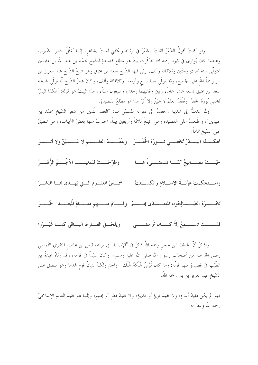ولو كنتُ أقولُ الشِّعْرَ لقلتُ الشِّعْرَ في رِثائه ولكنَّني لستُ بشاعر، إنَّما أتمثَّلُ بشعر الشَّعراء، وعندما كان يُوارى في قبره رحمه الله تذكّرتُ بيتاً هو مطلعُ قصيدةٍ للشّيخ محمّد بن عبد الله بن عثيمين المتوفَّى سنة ثلاثٍ وستَّين وثلاثمائة وألف، رثى فيها الشَّيخ سعد بن عتيق وهو شيخُ الشَّيخ عبد العزيز بن باز رحمةُ الله على الحميع، وقد توفّي سنة تسع وأربعين وثلاثمائة وألف، وكان عمرُ الشّيخ لّما توفّي شيخُه سعد بن عتيق تسعةَ عشر عاماً، وبين وفاتيهما إحدى وسبعون سَنَةٌ، وهذا البيتُ هو قولُه: أهكذا البَدْرُ تُخْفى نُورَهُ الْحُفَرُ ۖ ويُفْقَدُ العلمُ لا عَيْنٌ ولا أَثَرُ هذا هو مطلعُ القصيدةِ.

ولَّما عدتُّ إلى المدينة رحعتُ إلى ديوانه المسمَّى ب: "العقد الثَّمين من شعر الشَّيخ محمَّد بن عثيمين"، واطَّلعتُ على القصيدة وهي تبلغُ ثلاثةً وأربعين بيتاً، احترتُ منها بعضَ الأبيات، وهي تنطبقُ على الشّيخ تماماً:

أهكــــــذا البَــــــــدْرُ تُخْفـــــى نــــــورَهُ الحُفَـــــرُ \_ ويُفْقَــــــــدُ العلـــــــــمُ لا عَـــــــيْنٌ ولا أَقَـــــــرُ

- خَبَـــتْ مصـــــابيحُ كنّـــــا نستضــــيءُ بهـــــا وطوّحَــــتْ للمغيــــب الأنجُــــمُ الزُّهُــــرُ
- 
- تُخُسِّسِرِّمَ الصِّسْسَالِحُونَ المقتسِّسَادَى هِسْسِمُ ۚ وقسْسَامَ منسْسِهِم مقسْسَامَ الْمُبتِسْسِرُ الْخَبَسْس

فلســــــتَ تســـــــمعُ إلاّ كـــــــانَ ثمّ مضــــــى ويلحَـــقُ الفــــارطَ البــــاقى كمــــا غَبَـــرُوا

وأذكرُ أنَّ الحافظَ ابن حجر رحمه اللهُ ذكرَ في "الإصابة" في ترجمة قيس بن عاصم المنقري التّميمي رضي الله عنه من أصحاب رسول الله صلى الله عليه وسلم، وكان سيّداً في قومه، وقد رثاهُ عبدةُ بن الطَّيّب في قصيدةٍ منها قولُه: وما كان قَيْسٌ هُلْكُهُ هُلْكَ واحدٍ ولكنّهُ بنيانُ قوم قمدّمَا وهو ينطبق على الشَّيخ عبد العزيز بن باز رحمه اللهْ.

فهو لم يكن فقيدَ أسرةٍ، ولا فقيدَ قريةٍ أو مدينةٍ، ولا فقيدَ قطرِ أو إقليمٍ، وإنَّما هو فقيدُ العالَم الإسلاميّ , حمه الله وغفرَ له.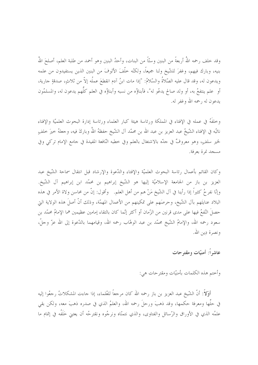وقد حلف رحمه اللهُ أربعةً من البنين وستّاً من البنات، وأحدُ البنين وهو أحمد من طلبة العلم، أصلحَ اللهُ بنيه، وبارك فيهم، وغفرَ للشَّيخ ولنا جميعاً، ولكنَّه خلَّفَ الألوفَ من البنين الذين يستفيدون من علمه ويدعون له، وقد قال عليه الصَّلاةُ والسَّلامُ: "إذا مات ابنُ آدم انقطعَ عملُه إلاَّ من ثلاثٍ، صدقةٍ جارية، أو علم ينتفعُ به، أو ولد صالح يدعُو له"، فأبناؤُه من نسبه وأبناؤُه في العلم كلَّهم يدعون له، والمسلمُون يدعون له , حمه الله وغفر له.

وخلفَهُ في عمله في الإفتاء في المملكة ورئاسة هيئة كبار العلماء ورئاسة إدارة البحوث العلميّة والإفتاء نائبُه في الإفتاء الشَّيخُ عبد العزيز بن عبد الله بن محمَّد آل الشَّيخ حفظهُ اللهُ وباركَ فيه، وحعلهُ حيرَ حلفٍ لخير سلفٍ، وهو معروفٌ في حدَّه بالاشتغال بالعلم وفي خطبه النَّافعة المفيدة في جامع الإمام تركي وفي مسجد نمرة بعرفة.

وكان القائم بأعمال رئاسة البحوث العلميّة والإفتاء والدّعوة والإرشاد قبل انتقال سماحة الشّيخ عبد العزيز بن باز من الجامعة الإسلاميّة إليها هو الشّيخ إبراهيم بن محمّد ابن إبراهيم آل الشّيخ. وإنَّا نفرحُ كثيراً إذا رأينا في آل الشَّيخ مَنْ هم من أهل العلم. وأقول: إنَّ من محاسن ولاة الأمر في هذه البلاد عنايتَهم بآل الشَّيخ، وحرصَهم على تمكينهم من الأعمال المهمَّة، وذلك أنَّ أصلَ هذه الولاية التي حصلَ النّفعُ فيها على مدى قرنين من الزّمان أو أكثر إنّما كان بالتقاء إمامين عظيمين هما الإمامُ محمّد بن سعود رحمه الله، والإمامُ الشَّيخ محمَّد بن عبد الوهَّاب رحمه الله، وقيامهما بالدَّعوة إلى الله عزَّ وحلَّ، ونصرة دِين الله.

عاشراً: أمنيّات ومقترحات

وأختم هذه الكلمات بأمنيّات ومقترحات هي:

أَوَّلاً: أنَّ الشَّيخ عبد العزيز بن باز رحمه الله كان مرجعاً للعُلماء، إذا جاءت المشكلاتُ رحِعُوا إليه في حلَّها ومعرفة حكمها، وقد ذهبَ ورحلَ رحمه الله، والعلمُ الذي في صدره ذهبَ معه، ولكن بقى علمُه الذي في الأوراق والرِّسائل والفتاوى، والذي نتمنَّاه ونرجُوه ونقترحُه أن يعتني حَلَفُه في إتمام ما